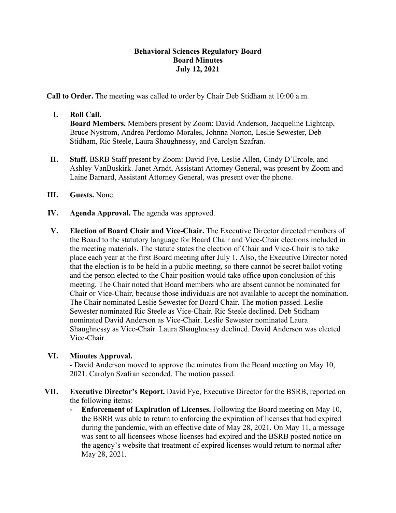## **Behavioral Sciences Regulatory Board Board Minutes July 12, 2021**

**Call to Order.** The meeting was called to order by Chair Deb Stidham at 10:00 a.m.

### **I. Roll Call.**

**Board Members.** Members present by Zoom: David Anderson, Jacqueline Lightcap, Bruce Nystrom, Andrea Perdomo-Morales, Johnna Norton, Leslie Sewester, Deb Stidham, Ric Steele, Laura Shaughnessy, and Carolyn Szafran.

- **II. Staff.** BSRB Staff present by Zoom: David Fye, Leslie Allen, Cindy D'Ercole, and Ashley VanBuskirk. Janet Arndt, Assistant Attorney General, was present by Zoom and Laine Barnard, Assistant Attorney General, was present over the phone.
- **III. Guests.** None.
- **IV. Agenda Approval.** The agenda was approved.
- **V. Election of Board Chair and Vice-Chair.** The Executive Director directed members of the Board to the statutory language for Board Chair and Vice-Chair elections included in the meeting materials. The statute states the election of Chair and Vice-Chair is to take place each year at the first Board meeting after July 1. Also, the Executive Director noted that the election is to be held in a public meeting, so there cannot be secret ballot voting and the person elected to the Chair position would take office upon conclusion of this meeting. The Chair noted that Board members who are absent cannot be nominated for Chair or Vice-Chair, because those individuals are not available to accept the nomination. The Chair nominated Leslie Sewester for Board Chair. The motion passed. Leslie Sewester nominated Ric Steele as Vice-Chair. Ric Steele declined. Deb Stidham nominated David Anderson as Vice-Chair. Leslie Sewester nominated Laura Shaughnessy as Vice-Chair. Laura Shaughnessy declined. David Anderson was elected Vice-Chair.

## **VI. Minutes Approval.**

- David Anderson moved to approve the minutes from the Board meeting on May 10, 2021. Carolyn Szafran seconded. The motion passed.

- **VII. Executive Director's Report.** David Fye, Executive Director for the BSRB, reported on the following items:
	- **- Enforcement of Expiration of Licenses.** Following the Board meeting on May 10, the BSRB was able to return to enforcing the expiration of licenses that had expired during the pandemic, with an effective date of May 28, 2021. On May 11, a message was sent to all licensees whose licenses had expired and the BSRB posted notice on the agency's website that treatment of expired licenses would return to normal after May 28, 2021.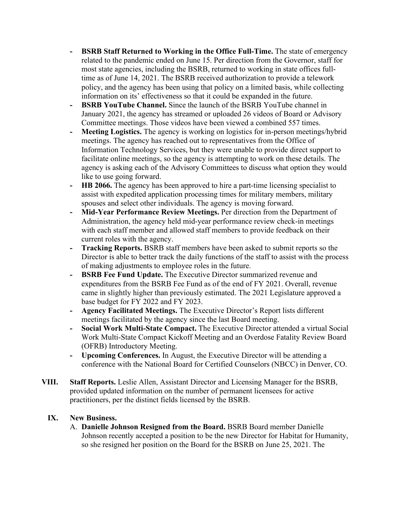- **- BSRB Staff Returned to Working in the Office Full-Time.** The state of emergency related to the pandemic ended on June 15. Per direction from the Governor, staff for most state agencies, including the BSRB, returned to working in state offices fulltime as of June 14, 2021. The BSRB received authorization to provide a telework policy, and the agency has been using that policy on a limited basis, while collecting information on its' effectiveness so that it could be expanded in the future.
- **- BSRB YouTube Channel.** Since the launch of the BSRB YouTube channel in January 2021, the agency has streamed or uploaded 26 videos of Board or Advisory Committee meetings. Those videos have been viewed a combined 557 times.
- **- Meeting Logistics.** The agency is working on logistics for in-person meetings/hybrid meetings. The agency has reached out to representatives from the Office of Information Technology Services, but they were unable to provide direct support to facilitate online meetings, so the agency is attempting to work on these details. The agency is asking each of the Advisory Committees to discuss what option they would like to use going forward.
- **- HB 2066.** The agency has been approved to hire a part-time licensing specialist to assist with expedited application processing times for military members, military spouses and select other individuals. The agency is moving forward.
- **- Mid-Year Performance Review Meetings.** Per direction from the Department of Administration, the agency held mid-year performance review check-in meetings with each staff member and allowed staff members to provide feedback on their current roles with the agency.
- **- Tracking Reports.** BSRB staff members have been asked to submit reports so the Director is able to better track the daily functions of the staff to assist with the process of making adjustments to employee roles in the future.
- **- BSRB Fee Fund Update.** The Executive Director summarized revenue and expenditures from the BSRB Fee Fund as of the end of FY 2021. Overall, revenue came in slightly higher than previously estimated. The 2021 Legislature approved a base budget for FY 2022 and FY 2023.
- **- Agency Facilitated Meetings.** The Executive Director's Report lists different meetings facilitated by the agency since the last Board meeting.
- **- Social Work Multi-State Compact.** The Executive Director attended a virtual Social Work Multi-State Compact Kickoff Meeting and an Overdose Fatality Review Board (OFRB) Introductory Meeting.
- **- Upcoming Conferences.** In August, the Executive Director will be attending a conference with the National Board for Certified Counselors (NBCC) in Denver, CO.
- **VIII. Staff Reports.** Leslie Allen, Assistant Director and Licensing Manager for the BSRB, provided updated information on the number of permanent licensees for active practitioners, per the distinct fields licensed by the BSRB.

# **IX. New Business.**

A. **Danielle Johnson Resigned from the Board.** BSRB Board member Danielle Johnson recently accepted a position to be the new Director for Habitat for Humanity, so she resigned her position on the Board for the BSRB on June 25, 2021. The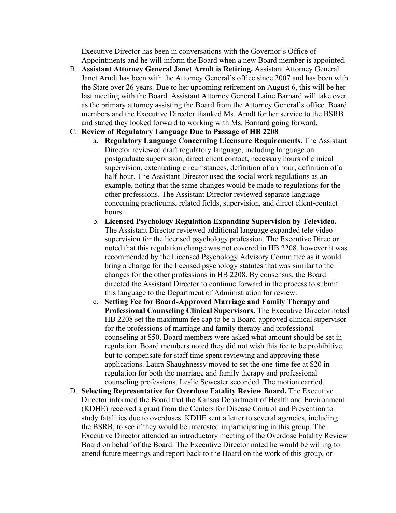Executive Director has been in conversations with the Governor's Office of Appointments and he will inform the Board when a new Board member is appointed.

B. **Assistant Attorney General Janet Arndt is Retiring.** Assistant Attorney General Janet Arndt has been with the Attorney General's office since 2007 and has been with the State over 26 years. Due to her upcoming retirement on August 6, this will be her last meeting with the Board. Assistant Attorney General Laine Barnard will take over as the primary attorney assisting the Board from the Attorney General's office. Board members and the Executive Director thanked Ms. Arndt for her service to the BSRB and stated they looked forward to working with Ms. Barnard going forward.

### C. **Review of Regulatory Language Due to Passage of HB 2208**

- a. **Regulatory Language Concerning Licensure Requirements.** The Assistant Director reviewed draft regulatory language, including language on postgraduate supervision, direct client contact, necessary hours of clinical supervision, extenuating circumstances, definition of an hour, definition of a half-hour. The Assistant Director used the social work regulations as an example, noting that the same changes would be made to regulations for the other professions. The Assistant Director reviewed separate language concerning practicums, related fields, supervision, and direct client-contact hours.
- b. **Licensed Psychology Regulation Expanding Supervision by Televideo.** The Assistant Director reviewed additional language expanded tele-video supervision for the licensed psychology profession. The Executive Director noted that this regulation change was not covered in HB 2208, however it was recommended by the Licensed Psychology Advisory Committee as it would bring a change for the licensed psychology statutes that was similar to the changes for the other professions in HB 2208. By consensus, the Board directed the Assistant Director to continue forward in the process to submit this language to the Department of Administration for review.
- c. **Setting Fee for Board-Approved Marriage and Family Therapy and Professional Counseling Clinical Supervisors.** The Executive Director noted HB 2208 set the maximum fee cap to be a Board-approved clinical supervisor for the professions of marriage and family therapy and professional counseling at \$50. Board members were asked what amount should be set in regulation. Board members noted they did not wish this fee to be prohibitive, but to compensate for staff time spent reviewing and approving these applications. Laura Shaughnessy moved to set the one-time fee at \$20 in regulation for both the marriage and family therapy and professional counseling professions. Leslie Sewester seconded. The motion carried.
- D. **Selecting Representative for Overdose Fatality Review Board.** The Executive Director informed the Board that the Kansas Department of Health and Environment (KDHE) received a grant from the Centers for Disease Control and Prevention to study fatalities due to overdoses. KDHE sent a letter to several agencies, including the BSRB, to see if they would be interested in participating in this group. The Executive Director attended an introductory meeting of the Overdose Fatality Review Board on behalf of the Board. The Executive Director noted he would be willing to attend future meetings and report back to the Board on the work of this group, or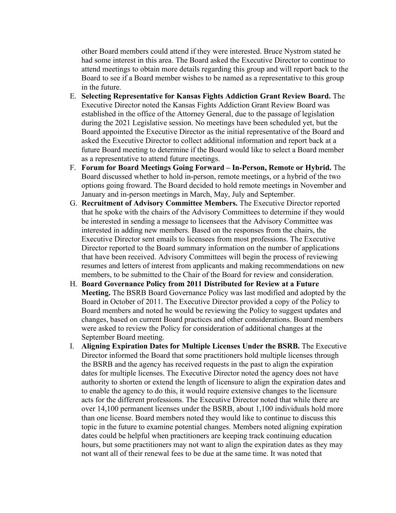other Board members could attend if they were interested. Bruce Nystrom stated he had some interest in this area. The Board asked the Executive Director to continue to attend meetings to obtain more details regarding this group and will report back to the Board to see if a Board member wishes to be named as a representative to this group in the future.

- E. **Selecting Representative for Kansas Fights Addiction Grant Review Board.** The Executive Director noted the Kansas Fights Addiction Grant Review Board was established in the office of the Attorney General, due to the passage of legislation during the 2021 Legislative session. No meetings have been scheduled yet, but the Board appointed the Executive Director as the initial representative of the Board and asked the Executive Director to collect additional information and report back at a future Board meeting to determine if the Board would like to select a Board member as a representative to attend future meetings.
- F. **Forum for Board Meetings Going Forward – In-Person, Remote or Hybrid.** The Board discussed whether to hold in-person, remote meetings, or a hybrid of the two options going froward. The Board decided to hold remote meetings in November and January and in-person meetings in March, May, July and September.
- G. **Recruitment of Advisory Committee Members.** The Executive Director reported that he spoke with the chairs of the Advisory Committees to determine if they would be interested in sending a message to licensees that the Advisory Committee was interested in adding new members. Based on the responses from the chairs, the Executive Director sent emails to licensees from most professions. The Executive Director reported to the Board summary information on the number of applications that have been received. Advisory Committees will begin the process of reviewing resumes and letters of interest from applicants and making recommendations on new members, to be submitted to the Chair of the Board for review and consideration.
- H. **Board Governance Policy from 2011 Distributed for Review at a Future Meeting.** The BSRB Board Governance Policy was last modified and adopted by the Board in October of 2011. The Executive Director provided a copy of the Policy to Board members and noted he would be reviewing the Policy to suggest updates and changes, based on current Board practices and other considerations. Board members were asked to review the Policy for consideration of additional changes at the September Board meeting.
- I. **Aligning Expiration Dates for Multiple Licenses Under the BSRB.** The Executive Director informed the Board that some practitioners hold multiple licenses through the BSRB and the agency has received requests in the past to align the expiration dates for multiple licenses. The Executive Director noted the agency does not have authority to shorten or extend the length of licensure to align the expiration dates and to enable the agency to do this, it would require extensive changes to the licensure acts for the different professions. The Executive Director noted that while there are over 14,100 permanent licenses under the BSRB, about 1,100 individuals hold more than one license. Board members noted they would like to continue to discuss this topic in the future to examine potential changes. Members noted aligning expiration dates could be helpful when practitioners are keeping track continuing education hours, but some practitioners may not want to align the expiration dates as they may not want all of their renewal fees to be due at the same time. It was noted that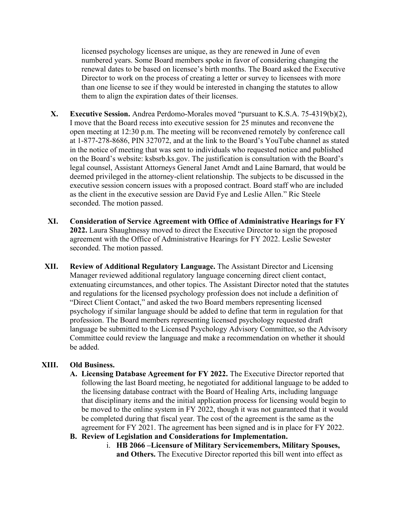licensed psychology licenses are unique, as they are renewed in June of even numbered years. Some Board members spoke in favor of considering changing the renewal dates to be based on licensee's birth months. The Board asked the Executive Director to work on the process of creating a letter or survey to licensees with more than one license to see if they would be interested in changing the statutes to allow them to align the expiration dates of their licenses.

- **X. Executive Session.** Andrea Perdomo-Morales moved "pursuant to K.S.A. 75-4319(b)(2), I move that the Board recess into executive session for 25 minutes and reconvene the open meeting at 12:30 p.m. The meeting will be reconvened remotely by conference call at 1-877-278-8686, PIN 327072, and at the link to the Board's YouTube channel as stated in the notice of meeting that was sent to individuals who requested notice and published on the Board's website: ksbsrb.ks.gov. The justification is consultation with the Board's legal counsel, Assistant Attorneys General Janet Arndt and Laine Barnard, that would be deemed privileged in the attorney-client relationship. The subjects to be discussed in the executive session concern issues with a proposed contract. Board staff who are included as the client in the executive session are David Fye and Leslie Allen." Ric Steele seconded. The motion passed.
- **XI. Consideration of Service Agreement with Office of Administrative Hearings for FY 2022.** Laura Shaughnessy moved to direct the Executive Director to sign the proposed agreement with the Office of Administrative Hearings for FY 2022. Leslie Sewester seconded. The motion passed.
- **XII. Review of Additional Regulatory Language.** The Assistant Director and Licensing Manager reviewed additional regulatory language concerning direct client contact, extenuating circumstances, and other topics. The Assistant Director noted that the statutes and regulations for the licensed psychology profession does not include a definition of "Direct Client Contact," and asked the two Board members representing licensed psychology if similar language should be added to define that term in regulation for that profession. The Board members representing licensed psychology requested draft language be submitted to the Licensed Psychology Advisory Committee, so the Advisory Committee could review the language and make a recommendation on whether it should be added.

## **XIII. Old Business.**

- **A. Licensing Database Agreement for FY 2022.** The Executive Director reported that following the last Board meeting, he negotiated for additional language to be added to the licensing database contract with the Board of Healing Arts, including language that disciplinary items and the initial application process for licensing would begin to be moved to the online system in FY 2022, though it was not guaranteed that it would be completed during that fiscal year. The cost of the agreement is the same as the agreement for FY 2021. The agreement has been signed and is in place for FY 2022.
- **B. Review of Legislation and Considerations for Implementation.**
	- i. **HB 2066 –Licensure of Military Servicemembers, Military Spouses, and Others.** The Executive Director reported this bill went into effect as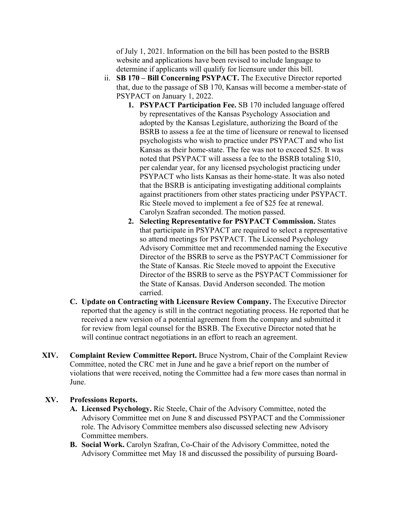of July 1, 2021. Information on the bill has been posted to the BSRB website and applications have been revised to include language to determine if applicants will qualify for licensure under this bill.

- ii. **SB 170 – Bill Concerning PSYPACT.** The Executive Director reported that, due to the passage of SB 170, Kansas will become a member-state of PSYPACT on January 1, 2022.
	- **1. PSYPACT Participation Fee.** SB 170 included language offered by representatives of the Kansas Psychology Association and adopted by the Kansas Legislature, authorizing the Board of the BSRB to assess a fee at the time of licensure or renewal to licensed psychologists who wish to practice under PSYPACT and who list Kansas as their home-state. The fee was not to exceed \$25. It was noted that PSYPACT will assess a fee to the BSRB totaling \$10, per calendar year, for any licensed psychologist practicing under PSYPACT who lists Kansas as their home-state. It was also noted that the BSRB is anticipating investigating additional complaints against practitioners from other states practicing under PSYPACT. Ric Steele moved to implement a fee of \$25 fee at renewal. Carolyn Szafran seconded. The motion passed.
	- **2. Selecting Representative for PSYPACT Commission.** States that participate in PSYPACT are required to select a representative so attend meetings for PSYPACT. The Licensed Psychology Advisory Committee met and recommended naming the Executive Director of the BSRB to serve as the PSYPACT Commissioner for the State of Kansas. Ric Steele moved to appoint the Executive Director of the BSRB to serve as the PSYPACT Commissioner for the State of Kansas. David Anderson seconded. The motion carried.
- **C. Update on Contracting with Licensure Review Company.** The Executive Director reported that the agency is still in the contract negotiating process. He reported that he received a new version of a potential agreement from the company and submitted it for review from legal counsel for the BSRB. The Executive Director noted that he will continue contract negotiations in an effort to reach an agreement.
- **XIV. Complaint Review Committee Report.** Bruce Nystrom, Chair of the Complaint Review Committee, noted the CRC met in June and he gave a brief report on the number of violations that were received, noting the Committee had a few more cases than normal in June.

### **XV. Professions Reports.**

- **A. Licensed Psychology.** Ric Steele, Chair of the Advisory Committee, noted the Advisory Committee met on June 8 and discussed PSYPACT and the Commissioner role. The Advisory Committee members also discussed selecting new Advisory Committee members.
- **B. Social Work.** Carolyn Szafran, Co-Chair of the Advisory Committee, noted the Advisory Committee met May 18 and discussed the possibility of pursuing Board-